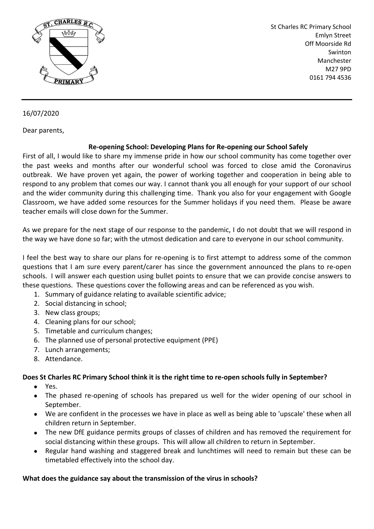

St Charles RC Primary School Emlyn Street Off Moorside Rd Swinton Manchester M27 9PD 0161 794 4536

## 16/07/2020

Dear parents,

#### **Re-opening School: Developing Plans for Re-opening our School Safely**

First of all, I would like to share my immense pride in how our school community has come together over the past weeks and months after our wonderful school was forced to close amid the Coronavirus outbreak. We have proven yet again, the power of working together and cooperation in being able to respond to any problem that comes our way. I cannot thank you all enough for your support of our school and the wider community during this challenging time. Thank you also for your engagement with Google Classroom, we have added some resources for the Summer holidays if you need them. Please be aware teacher emails will close down for the Summer.

As we prepare for the next stage of our response to the pandemic, I do not doubt that we will respond in the way we have done so far; with the utmost dedication and care to everyone in our school community.

I feel the best way to share our plans for re-opening is to first attempt to address some of the common questions that I am sure every parent/carer has since the government announced the plans to re-open schools. I will answer each question using bullet points to ensure that we can provide concise answers to these questions. These questions cover the following areas and can be referenced as you wish.

- 1. Summary of guidance relating to available scientific advice;
- 2. Social distancing in school;
- 3. New class groups;
- 4. Cleaning plans for our school;
- 5. Timetable and curriculum changes;
- 6. The planned use of personal protective equipment (PPE)
- 7. Lunch arrangements;
- 8. Attendance.

## Does St Charles RC Primary School think it is the right time to re-open schools fully in September?

- Yes.
- The phased re-opening of schools has prepared us well for the wider opening of our school in September.
- We are confident in the processes we have in place as well as being able to 'upscale' these when all children return in September.
- The new DfE guidance permits groups of classes of children and has removed the requirement for social distancing within these groups. This will allow all children to return in September.
- Regular hand washing and staggered break and lunchtimes will need to remain but these can be timetabled effectively into the school day.

#### **What does the guidance say about the transmission of the virus in schools?**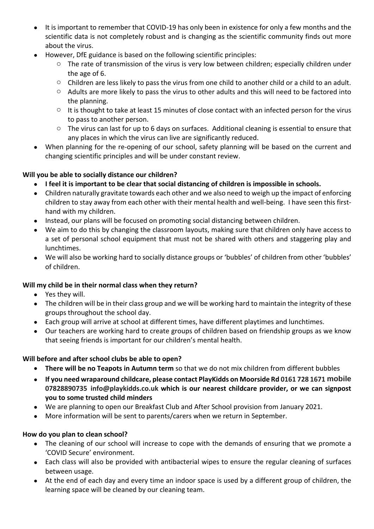- It is important to remember that COVID-19 has only been in existence for only a few months and the scientific data is not completely robust and is changing as the scientific community finds out more about the virus.
- However, DfE guidance is based on the following scientific principles:
	- $\circ$  The rate of transmission of the virus is very low between children; especially children under the age of 6.
	- $\circ$  Children are less likely to pass the virus from one child to another child or a child to an adult.
	- $\circ$  Adults are more likely to pass the virus to other adults and this will need to be factored into the planning.
	- o It is thought to take at least 15 minutes of close contact with an infected person for the virus to pass to another person.
	- $\circ$  The virus can last for up to 6 days on surfaces. Additional cleaning is essential to ensure that any places in which the virus can live are significantly reduced.
- When planning for the re-opening of our school, safety planning will be based on the current and changing scientific principles and will be under constant review.

## **Will you be able to socially distance our children?**

- **I feel it is important to be clear that social distancing of children is impossible in schools.**
- Children naturally gravitate towards each other and we also need to weigh up the impact of enforcing children to stay away from each other with their mental health and well-being. I have seen this firsthand with my children.
- Instead, our plans will be focused on promoting social distancing between children.
- We aim to do this by changing the classroom layouts, making sure that children only have access to a set of personal school equipment that must not be shared with others and staggering play and lunchtimes.
- We will also be working hard to socially distance groups or 'bubbles' of children from other 'bubbles' of children.

## **Will my child be in their normal class when they return?**

- Yes they will.
- The children will be in their class group and we will be working hard to maintain the integrity of these groups throughout the school day.
- Each group will arrive at school at different times, have different playtimes and lunchtimes.
- Our teachers are working hard to create groups of children based on friendship groups as we know that seeing friends is important for our children's mental health.

#### **Will before and after school clubs be able to open?**

- **There will be no Teapots in Autumn term** so that we do not mix children from different bubbles
- **If you need wraparound childcare, please contact PlayKidds on Moorside Rd 0161 728 1671 mobile 07828890735 info@playkidds.co.uk which is our nearest childcare provider, or we can signpost you to some trusted child minders**
- We are planning to open our Breakfast Club and After School provision from January 2021.
- More information will be sent to parents/carers when we return in September.

#### **How do you plan to clean school?**

- The cleaning of our school will increase to cope with the demands of ensuring that we promote a 'COVID Secure' environment.
- Each class will also be provided with antibacterial wipes to ensure the regular cleaning of surfaces between usage.
- At the end of each day and every time an indoor space is used by a different group of children, the learning space will be cleaned by our cleaning team.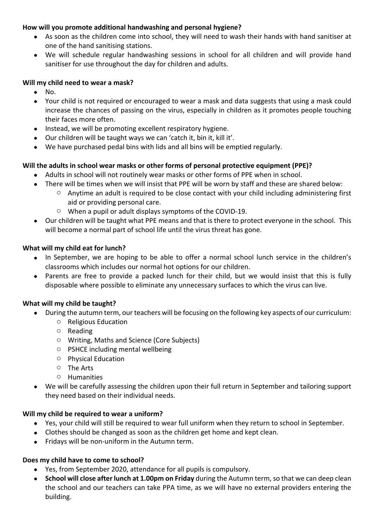#### **How will you promote additional handwashing and personal hygiene?**

- As soon as the children come into school, they will need to wash their hands with hand sanitiser at one of the hand sanitising stations.
- We will schedule regular handwashing sessions in school for all children and will provide hand sanitiser for use throughout the day for children and adults.

#### **Will my child need to wear a mask?**

- No.
- Your child is not required or encouraged to wear a mask and data suggests that using a mask could increase the chances of passing on the virus, especially in children as it promotes people touching their faces more often.
- Instead, we will be promoting excellent respiratory hygiene.
- Our children will be taught ways we can 'catch it, bin it, kill it'.
- We have purchased pedal bins with lids and all bins will be emptied regularly.

#### **Will the adults in school wear masks or other forms of personal protective equipment (PPE)?**

- Adults in school will not routinely wear masks or other forms of PPE when in school.
- There will be times when we will insist that PPE will be worn by staff and these are shared below:
	- o Anytime an adult is required to be close contact with your child including administering first aid or providing personal care.
	- o When a pupil or adult displays symptoms of the COVID-19.
- Our children will be taught what PPE means and that is there to protect everyone in the school. This will become a normal part of school life until the virus threat has gone.

#### **What will my child eat for lunch?**

- In September, we are hoping to be able to offer a normal school lunch service in the children's classrooms which includes our normal hot options for our children.
- Parents are free to provide a packed lunch for their child, but we would insist that this is fully disposable where possible to eliminate any unnecessary surfaces to which the virus can live.

#### **What will my child be taught?**

- During the autumn term, our teachers will be focusing on the following key aspects of our curriculum:
	- o Religious Education
	- o Reading
	- o Writing, Maths and Science (Core Subjects)
	- o PSHCE including mental wellbeing
	- o Physical Education
	- o The Arts
	- o Humanities
- We will be carefully assessing the children upon their full return in September and tailoring support they need based on their individual needs.

#### **Will my child be required to wear a uniform?**

- Yes, your child will still be required to wear full uniform when they return to school in September.
- Clothes should be changed as soon as the children get home and kept clean.
- Fridays will be non-uniform in the Autumn term.

#### **Does my child have to come to school?**

- Yes, from September 2020, attendance for all pupils is compulsory.
- **School will close after lunch at 1.00pm on Friday** during the Autumn term, so that we can deep clean the school and our teachers can take PPA time, as we will have no external providers entering the building.